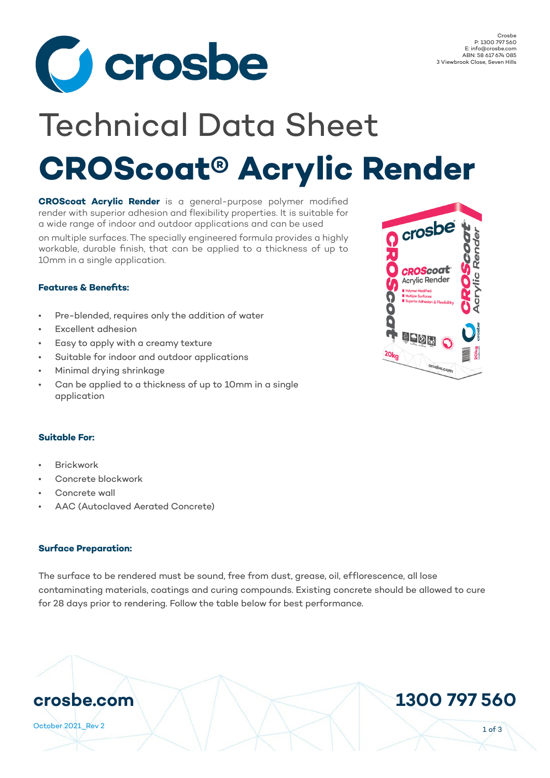

# **CROScoat® Acrylic Render** Technical Data Sheet

**CROScoat Acrylic Render** is a general-purpose polymer modified render with superior adhesion and flexibility properties. It is suitable for a wide range of indoor and outdoor applications and can be used

on multiple surfaces. The specially engineered formula provides a highly workable, durable finish, that can be applied to a thickness of up to 10mm in a single application.

## **Features & Benefits:**

- Pre-blended, requires only the addition of water
- Excellent adhesion
- Easy to apply with a creamy texture
- Suitable for indoor and outdoor applications
- Minimal drying shrinkage
- Can be applied to a thickness of up to 10mm in a single application

#### **Suitable For:**

- Brickwork
- Concrete blockwork
- Concrete wall
- AAC (Autoclaved Aerated Concrete)

#### **Surface Preparation:**

The surface to be rendered must be sound, free from dust, grease, oil, efflorescence, all lose contaminating materials, coatings and curing compounds. Existing concrete should be allowed to cure for 28 days prior to rendering. Follow the table below for best performance.



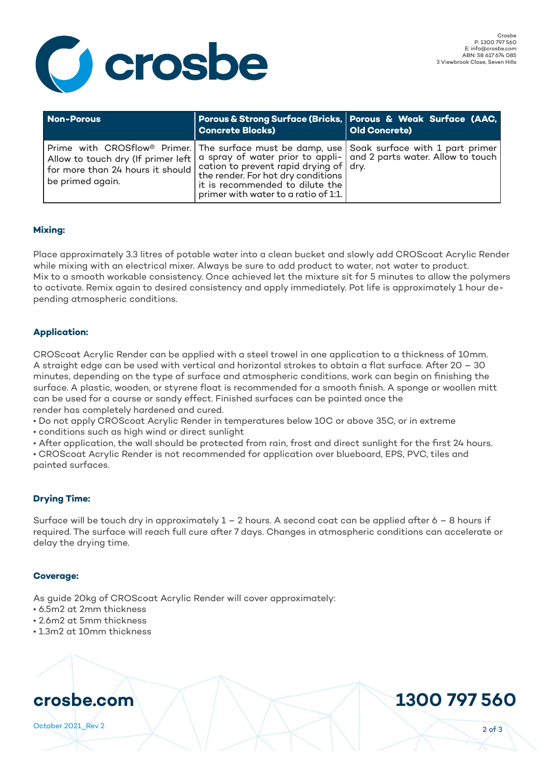

| Non-Porous                                                                                    | <b>Concrete Blocks)</b>                                                                                       | Porous & Strong Surface (Bricks, Porous & Weak Surface (AAC,<br>Old Concrete)                                                                                                                                         |
|-----------------------------------------------------------------------------------------------|---------------------------------------------------------------------------------------------------------------|-----------------------------------------------------------------------------------------------------------------------------------------------------------------------------------------------------------------------|
| I for more than 24 hours it should cation to prevent rapid drying of dry.<br>be primed again. | the render. For hot dry conditions<br>it is recommended to dilute the<br>primer with water to a ratio of 1:1. | $\mid$ Prime with CROSflow® Primer. The surface must be damp, use $\mid$ Soak surface with 1 part primer<br>Allow to touch dry (If primer left   a spray of water prior to appli-   and 2 parts water. Allow to touch |

### **Mixing:**

Place approximately 3.3 litres of potable water into a clean bucket and slowly add CROScoat Acrylic Render while mixing with an electrical mixer. Always be sure to add product to water, not water to product. Mix to a smooth workable consistency. Once achieved let the mixture sit for 5 minutes to allow the polymers to activate. Remix again to desired consistency and apply immediately. Pot life is approximately 1 hour depending atmospheric conditions.

### **Application:**

CROScoat Acrylic Render can be applied with a steel trowel in one application to a thickness of 10mm. A straight edge can be used with vertical and horizontal strokes to obtain a flat surface. After 20 – 30 minutes, depending on the type of surface and atmospheric conditions, work can begin on finishing the surface. A plastic, wooden, or styrene float is recommended for a smooth finish. A sponge or woollen mitt can be used for a course or sandy effect. Finished surfaces can be painted once the render has completely hardened and cured.

• Do not apply CROScoat Acrylic Render in temperatures below 10C or above 35C, or in extreme

• conditions such as high wind or direct sunlight

• After application, the wall should be protected from rain, frost and direct sunlight for the first 24 hours. • CROScoat Acrylic Render is not recommended for application over blueboard, EPS, PVC, tiles and painted surfaces.

#### **Drying Time:**

Surface will be touch dry in approximately  $1 - 2$  hours. A second coat can be applied after  $6 - 8$  hours if required. The surface will reach full cure after 7 days. Changes in atmospheric conditions can accelerate or delay the drying time.

#### **Coverage:**

As guide 20kg of CROScoat Acrylic Render will cover approximately:

- 6.5m2 at 2mm thickness
- 2.6m2 at 5mm thickness
- 1.3m2 at 10mm thickness